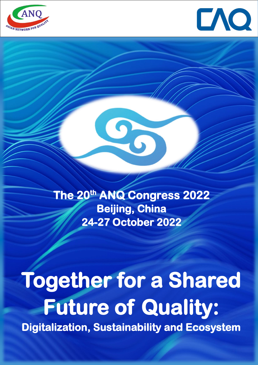



**The 20th ANQ Congress 2022 Beijing, China 24-27 October 2022** 

Q

# **Together for a Shared Future of Quality:**

**Digitalization, Sustainability and Ecosystem**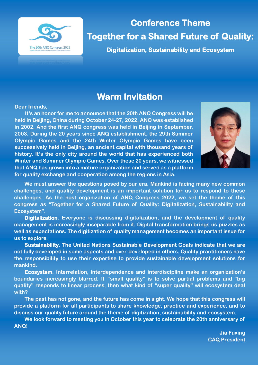

**Conference Theme Together for a Shared Future of Quality:** 

**Digitalization, Sustainability and Ecosystem** 

# **Warm Invitation**

**Dear friends,**

**It's an honor for me to announce that the 20th ANQ Congress will be held in Beijing, China during October 24-27, 2022. ANQ was established in 2002. And the first ANQ congress was held in Beijing in September, 2003. During the 20 years since ANQ establishment, the 29th Summer Olympic Games and the 24th Winter Olympic Games have been successively held in Beijing, an ancient capital with thousand years of history. It's the only city around the world that has experienced both Winter and Summer Olympic Games. Over these 20 years, we witnessed that ANQ has grown into a mature organization and served as a platform for quality exchange and cooperation among the regions in Asia.** 



**We must answer the questions posed by our era. Mankind is facing many new common challenges, and quality development is an important solution for us to respond to these challenges. As the host organization of ANQ Congress 2022, we set the theme of this congress as "Together for a Shared Future of Quality: Digitalization, Sustainability and Ecosystem".**

**Digitalization. Everyone is discussing digitalization, and the development of quality management is increasingly inseparable from it. Digital transformation brings us puzzles as well as expectations. The digitization of quality management becomes an important issue for us to explore.**

**Sustainability. The United Nations Sustainable Development Goals indicate that we are not fully developed in some aspects and over-developed in others. Quality practitioners have the responsibility to use their expertise to provide sustainable development solutions for mankind.**

**Ecosystem. Interrelation, interdependence and interdiscipline make an organization's boundaries increasingly blurred. If "small quality" is to solve partial problems and "big quality" responds to linear process, then what kind of "super quality" will ecosystem deal with?**

**The past has not gone, and the future has come in sight. We hope that this congress will provide a platform for all participants to share knowledge, practice and experience, and to discuss our quality future around the theme of digitization, sustainability and ecosystem.**

**We look forward to meeting you in October this year to celebrate the 20th anniversary of ANQ!** 

> **Jia Fuxing CAQ President**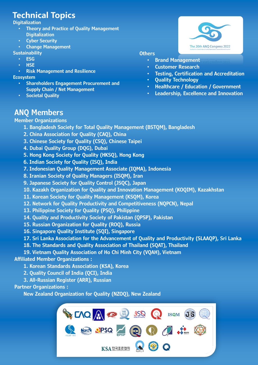# **Technical Topics**

#### **Digitalization**

- **Theory and Practice of Quality Management Digitalization**
- **Cyber Security**
- **Change Management**

#### **Sustainability**

- **ESG** • **HSE**
- 
- **Risk Management and Resilience**

#### **Ecosystem**

- **Shareholders Engagement Procurement and Supply Chain / Net Management**
- **Societal Quality**

# The 20th ANQ Congress 2022

#### **Others**

- **Brand Management**
- **Customer Research**
- **Testing, Certification and Accreditation**
- **Quality Technology**
- **Healthcare / Education / Government**
- **Leadership, Excellence and Innovation**

# **ANQ Members**

#### **Member Organizations**

- **1. Bangladesh Society for Total Quality Management (BSTQM), Bangladesh**
- **2. China Association for Quality (CAQ), China**
- **3. Chinese Society for Quality (CSQ), Chinese Taipei**
- **4. Dubai Quality Group (DQG), Dubai**
- **5. Hong Kong Society for Quality (HKSQ), Hong Kong**
- **6. Indian Society for Quality (ISQ), India**
- **7. Indonesian Quality Management Associate (IQMA), Indonesia**
- **8. Iranian Society of Quality Managers (ISQM), Iran**
- **9. Japanese Society for Quality Control (JSQC), Japan**
- **10. Kazakh Organization for Quality and Innovation Management (KOQIM), Kazakhstan**
- **11. Korean Society for Quality Management (KSQM), Korea**
- **12. Network for Quality Productivity and Competitiveness (NQPCN), Nepal**
- **13. Philippine Society for Quality (PSQ), Philippine**
- **14. Quality and Productivity Society of Pakistan (QPSP), Pakistan**
- **15. Russian Organization for Quality (ROQ), Russia**
- **16. Singapore Quality Institute (SQI), Singapore**
- **17. Sri Lanka Association for the Advancement of Quality and Productivity (SLAAQP), Sri Lanka**
- **18. The Standards and Quality Association of Thailand (SQAT), Thailand**
- **19. Vietnam Quality Association of Ho Chi Minh City (VQAH), Vietnam**

#### **Affiliated Member Organizations :**

- **1. Korean Standards Association (KSA), Korea**
- **2. Quality Council of India (QCI), India**
- **3. All-Russian Register (ARR), Russian**

#### **Partner Organizations :**

**New Zealand Organization for Quality (NZOQ), New Zealand**